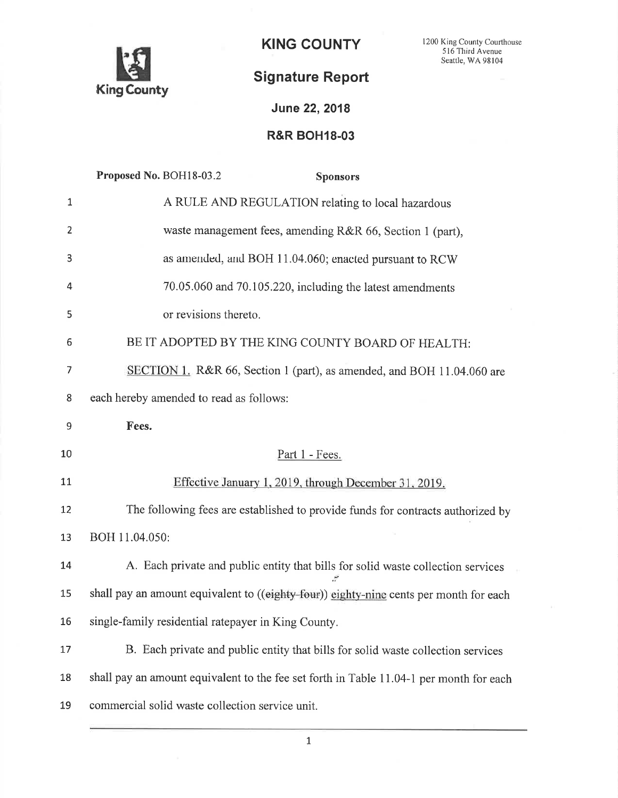

KING COUNTY 1200 King County Courthouse Seattle, WA 98104

## Signature Report

## **June 22, 2018**

## R&R BOH18-03

|                                  | Proposed No. BOH18-03.2<br><b>Sponsors</b>                                              |
|----------------------------------|-----------------------------------------------------------------------------------------|
| $\mathbf{1}$                     | A RULE AND REGULATION relating to local hazardous                                       |
| $\overline{2}$                   | waste management fees, amending R&R 66, Section 1 (part),                               |
| 3                                | as amended, and BOH 11.04.060; enacted pursuant to RCW                                  |
| 4                                | 70.05.060 and 70.105.220, including the latest amendments                               |
| 5                                | or revisions thereto.                                                                   |
| 6                                | BE IT ADOPTED BY THE KING COUNTY BOARD OF HEALTH:                                       |
| 7                                | SECTION 1. R&R 66, Section 1 (part), as amended, and BOH 11.04.060 are                  |
| 8                                | each hereby amended to read as follows:                                                 |
| 9                                | Fees.                                                                                   |
|                                  |                                                                                         |
| 10                               | Part 1 - Fees.                                                                          |
|                                  | Effective January 1, 2019, through December 31, 2019.                                   |
|                                  | The following fees are established to provide funds for contracts authorized by         |
|                                  | BOH 11.04.050:                                                                          |
|                                  | A. Each private and public entity that bills for solid waste collection services        |
|                                  | shall pay an amount equivalent to ((eighty-four)) eighty-nine cents per month for each  |
| 11<br>12<br>13<br>14<br>15<br>16 | single-family residential ratepayer in King County.                                     |
| 17                               | B. Each private and public entity that bills for solid waste collection services        |
| 18                               | shall pay an amount equivalent to the fee set forth in Table 11.04-1 per month for each |

 $\mathbf 1$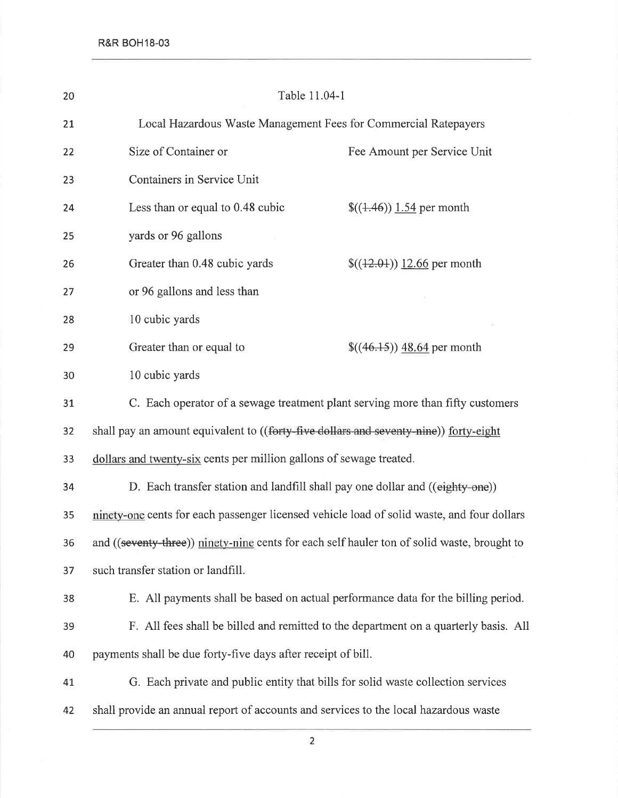| 20 | Table 11.04-1                                                                               |
|----|---------------------------------------------------------------------------------------------|
| 21 | Local Hazardous Waste Management Fees for Commercial Ratepayers                             |
| 22 | Size of Container or<br>Fee Amount per Service Unit                                         |
| 23 | Containers in Service Unit                                                                  |
| 24 | Less than or equal to 0.48 cubic<br>$\frac{\{(1.46)\}}{1.54}$ per month                     |
| 25 | yards or 96 gallons                                                                         |
| 26 | Greater than 0.48 cubic yards<br>$\$((12.01))$ 12.66 per month                              |
| 27 | or 96 gallons and less than                                                                 |
| 28 | 10 cubic yards                                                                              |
| 29 | Greater than or equal to<br>$$(46.15)$ 48.64 per month                                      |
| 30 | 10 cubic yards                                                                              |
| 31 | C. Each operator of a sewage treatment plant serving more than fifty customers              |
| 32 | shall pay an amount equivalent to ((forty-five dollars and seventy-nine)) forty-eight       |
| 33 | dollars and twenty-six cents per million gallons of sewage treated.                         |
| 34 | D. Each transfer station and landfill shall pay one dollar and ((eighty-one))               |
| 35 | ninety-one cents for each passenger licensed vehicle load of solid waste, and four dollars  |
| 36 | and ((seventy-three)) ninety-nine cents for each self hauler ton of solid waste, brought to |
| 37 | such transfer station or landfill.                                                          |
| 38 | E. All payments shall be based on actual performance data for the billing period.           |
| 39 | F. All fees shall be billed and remitted to the department on a quarterly basis. All        |
| 40 | payments shall be due forty-five days after receipt of bill.                                |
| 41 | G. Each private and public entity that bills for solid waste collection services            |
| 42 | shall provide an annual report of accounts and services to the local hazardous waste        |
|    |                                                                                             |

2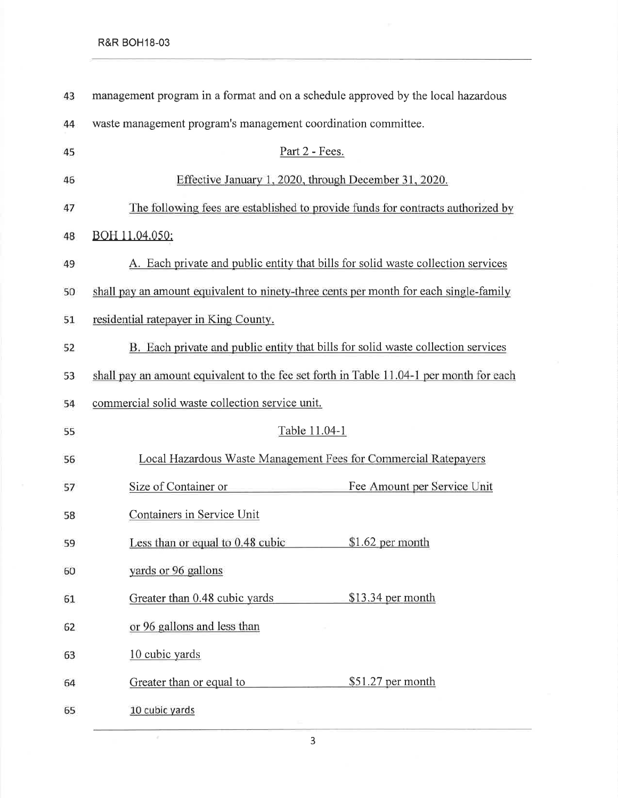| 43 | management program in a format and on a schedule approved by the local hazardous        |
|----|-----------------------------------------------------------------------------------------|
| 44 | waste management program's management coordination committee.                           |
| 45 | Part 2 - Fees.                                                                          |
| 46 | Effective January 1, 2020, through December 31, 2020.                                   |
| 47 | The following fees are established to provide funds for contracts authorized by         |
| 48 | BOH 11.04.050;                                                                          |
| 49 | A. Each private and public entity that bills for solid waste collection services        |
| 50 | shall pay an amount equivalent to ninety-three cents per month for each single-family   |
| 51 | residential ratepayer in King County.                                                   |
| 52 | B. Each private and public entity that bills for solid waste collection services        |
| 53 | shall pay an amount equivalent to the fee set forth in Table 11.04-1 per month for each |
| 54 | commercial solid waste collection service unit.                                         |
| 55 | Table 11.04-1                                                                           |
| 56 | Local Hazardous Waste Management Fees for Commercial Ratepayers                         |
| 57 | Size of Container or<br>Fee Amount per Service Unit                                     |
| 58 | Containers in Service Unit                                                              |
| 59 | Less than or equal to 0.48 cubic<br>\$1.62 per month                                    |
| 60 | yards or 96 gallons                                                                     |
| 61 | Greater than 0.48 cubic yards<br>\$13.34 per month                                      |
| 62 | or 96 gallons and less than                                                             |
| 63 | 10 cubic yards                                                                          |
| 64 | $$51.27$ per month<br>Greater than or equal to                                          |
| 65 | 10 cubic yards                                                                          |

 $\mathcal{A}$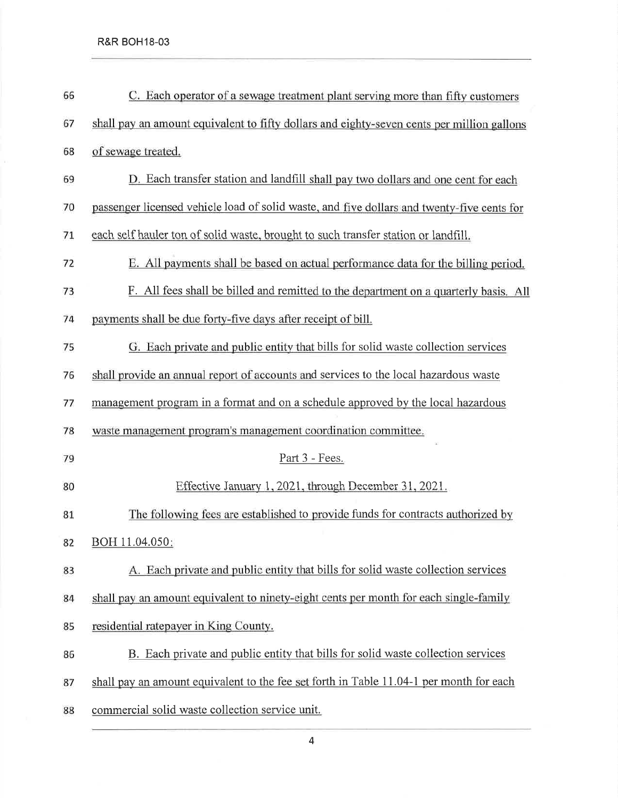| 66 | C. Each operator of a sewage treatment plant serving more than fifty customers             |
|----|--------------------------------------------------------------------------------------------|
| 67 | shall pay an amount equivalent to fifty dollars and eighty-seven cents per million gallons |
| 68 | of sewage treated.                                                                         |
| 69 | D. Each transfer station and landfill shall pay two dollars and one cent for each          |
| 70 | passenger licensed vehicle load of solid waste, and five dollars and twenty-five cents for |
| 71 | each self hauler ton of solid waste, brought to such transfer station or landfill.         |
| 72 | E. All payments shall be based on actual performance data for the billing period.          |
| 73 | F. All fees shall be billed and remitted to the department on a quarterly basis. All       |
| 74 | payments shall be due forty-five days after receipt of bill.                               |
| 75 | G. Each private and public entity that bills for solid waste collection services           |
| 76 | shall provide an annual report of accounts and services to the local hazardous waste       |
| 77 | management program in a format and on a schedule approved by the local hazardous           |
| 78 | waste management program's management coordination committee.                              |
| 79 | Part 3 - Fees.                                                                             |
| 80 | Effective January 1, 2021, through December 31, 2021.                                      |
| 81 | The following fees are established to provide funds for contracts authorized by            |
| 82 | BOH 11.04.050:                                                                             |
| 83 | A. Each private and public entity that bills for solid waste collection services           |
| 84 | shall pay an amount equivalent to ninety-eight cents per month for each single-family      |
| 85 | residential ratepayer in King County.                                                      |
| 86 | B. Each private and public entity that bills for solid waste collection services           |
| 87 | shall pay an amount equivalent to the fee set forth in Table 11.04-1 per month for each    |
| 88 | commercial solid waste collection service unit.                                            |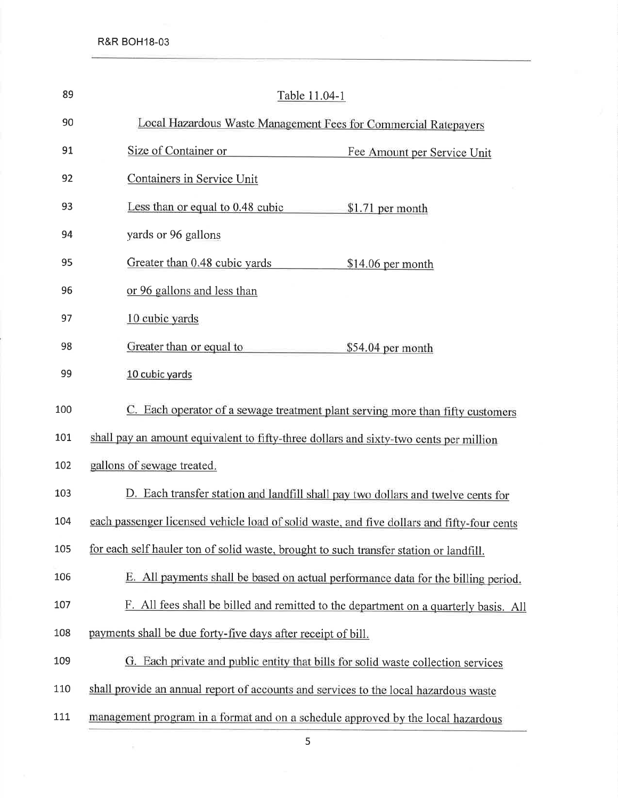| 89  | Table 11.04-1                                                                              |
|-----|--------------------------------------------------------------------------------------------|
| 90  | Local Hazardous Waste Management Fees for Commercial Ratepayers                            |
| 91  | Size of Container or<br>Fee Amount per Service Unit                                        |
| 92  | <b>Containers in Service Unit</b>                                                          |
| 93  | Less than or equal to 0.48 cubic<br>\$1.71 per month                                       |
| 94  | yards or 96 gallons                                                                        |
| 95  | Greater than 0.48 cubic yards<br>$$14.06$ per month                                        |
| 96  | or 96 gallons and less than                                                                |
| 97  | 10 cubic yards                                                                             |
| 98  | Greater than or equal to<br>\$54.04 per month                                              |
| 99  | 10 cubic yards                                                                             |
| 100 | C. Each operator of a sewage treatment plant serving more than fifty customers             |
| 101 | shall pay an amount equivalent to fifty-three dollars and sixty-two cents per million      |
| 102 | gallons of sewage treated.                                                                 |
| 103 | D. Each transfer station and landfill shall pay two dollars and twelve cents for           |
| 104 | each passenger licensed vehicle load of solid waste, and five dollars and fifty-four cents |
| 105 | for each self hauler ton of solid waste, brought to such transfer station or landfill.     |
| 106 | E. All payments shall be based on actual performance data for the billing period.          |
| 107 | F. All fees shall be billed and remitted to the department on a quarterly basis. All       |
| 108 | payments shall be due forty-five days after receipt of bill.                               |
| 109 | G. Each private and public entity that bills for solid waste collection services           |
| 110 | shall provide an annual report of accounts and services to the local hazardous waste       |
| 111 | management program in a format and on a schedule approved by the local hazardous           |

 $\overline{\mathbf{5}}$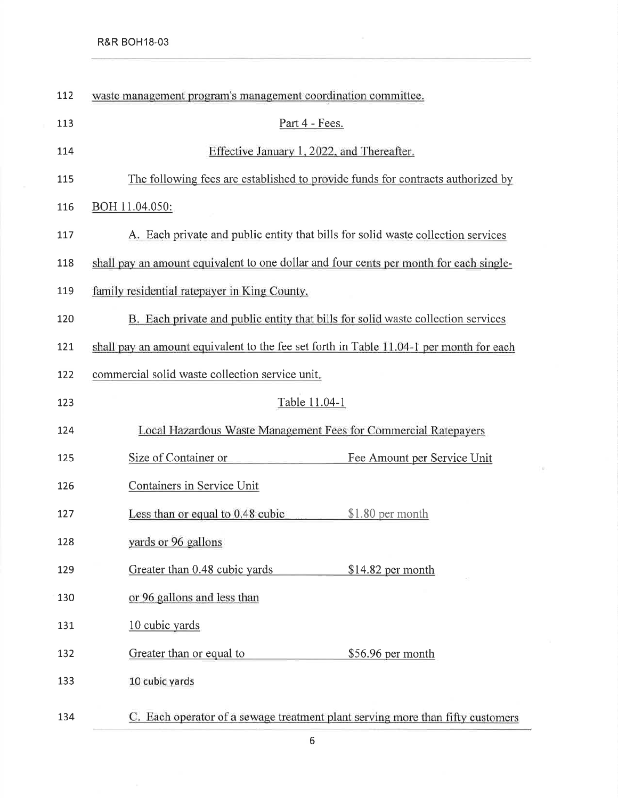| 112 | waste management program's management coordination committee.                           |
|-----|-----------------------------------------------------------------------------------------|
| 113 | Part 4 - Fees.                                                                          |
| 114 | Effective January 1, 2022, and Thereafter.                                              |
| 115 | The following fees are established to provide funds for contracts authorized by         |
| 116 | BOH 11.04.050:                                                                          |
| 117 | A. Each private and public entity that bills for solid waste collection services        |
| 118 | shall pay an amount equivalent to one dollar and four cents per month for each single-  |
| 119 | family residential ratepayer in King County.                                            |
| 120 | B. Each private and public entity that bills for solid waste collection services        |
| 121 | shall pay an amount equivalent to the fee set forth in Table 11.04-1 per month for each |
| 122 | commercial solid waste collection service unit.                                         |
| 123 | Table 11.04-1                                                                           |
| 124 | Local Hazardous Waste Management Fees for Commercial Ratepayers                         |
| 125 | Size of Container or<br>Fee Amount per Service Unit                                     |
| 126 | Containers in Service Unit                                                              |
| 127 | Less than or equal to 0.48 cubic<br>$$1.80$ per month                                   |
| 128 | yards or 96 gallons                                                                     |
| 129 | Greater than 0.48 cubic yards<br>\$14.82 per month                                      |
| 130 | or 96 gallons and less than                                                             |
| 131 | 10 cubic yards                                                                          |
| 132 | Greater than or equal to<br>\$56.96 per month                                           |
| 133 | 10 cubic yards                                                                          |
| 134 | C. Each operator of a sewage treatment plant serving more than fifty customers          |

 $\alpha$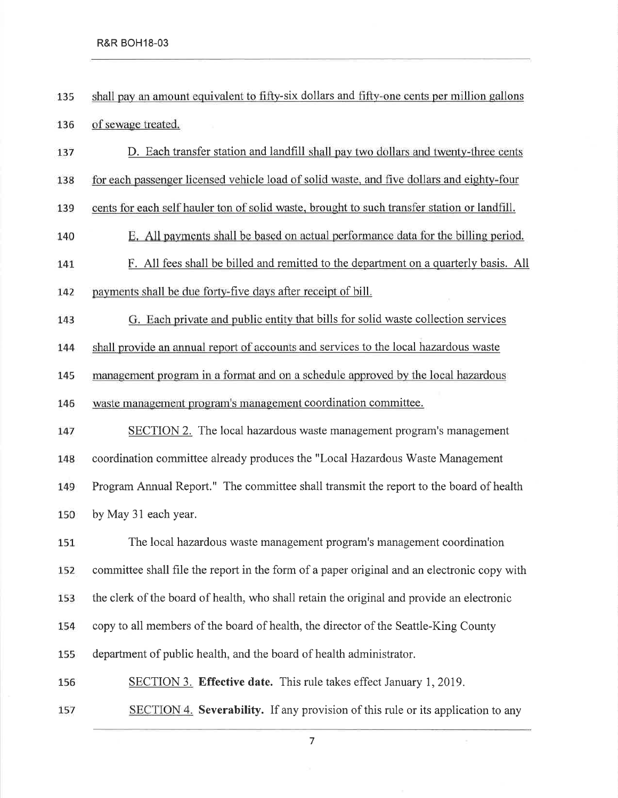- shall pay an amount equivalent to fifty-six dollars and fifty-one cents per million gallons 135 of sewage treated. 136
- D. Each transfer station and landfill shall pay two dollars and twenty-three cents 137
- for each passenger licensed vehicle load of solid waste. and five dollars and eighty-four 138
- cents for each self hauler ton of solid waste, brought to such transfer station or landfill. 139
- E. All payments shall be based on actual performance data for the billing period. 140
- F. All fees shall be billed and remitted to the department on a quarterly basis. All 141 payments shall be due forty-five days after receipt of bill. 142
- G. Each private and public entity that bills for solid waste collection services 143

shall provide an annual report of accounts and services to the local hazardous waste 144

management program in a format and on a schedule approved by the local hazardous 145

- waste management program's management coordination committee. 146
- SECTION 2. The local hazardous waste management program's management 147 148 coordination committee already produces the "Local Hazardous Waste Management Program Annual Report." The committee shall transmit the report to the board of health 149 by May 31 each year. 150

The local hazardous waste management program's management coordination 151 committee shall file the report in the form of a paper original and an electronic copy with 152 153 the clerk of the board of health, who shall retain the original and provide an electronic copy to all members of the board of health, the director of the Seattle-King County 154 155 department of public health, and the board of health administrator. 156 SECTION 3. Effective date. This rule takes effect January 1, 2019.

SECTION 4. Severability. If any provision of this rule or its application to any 157

7